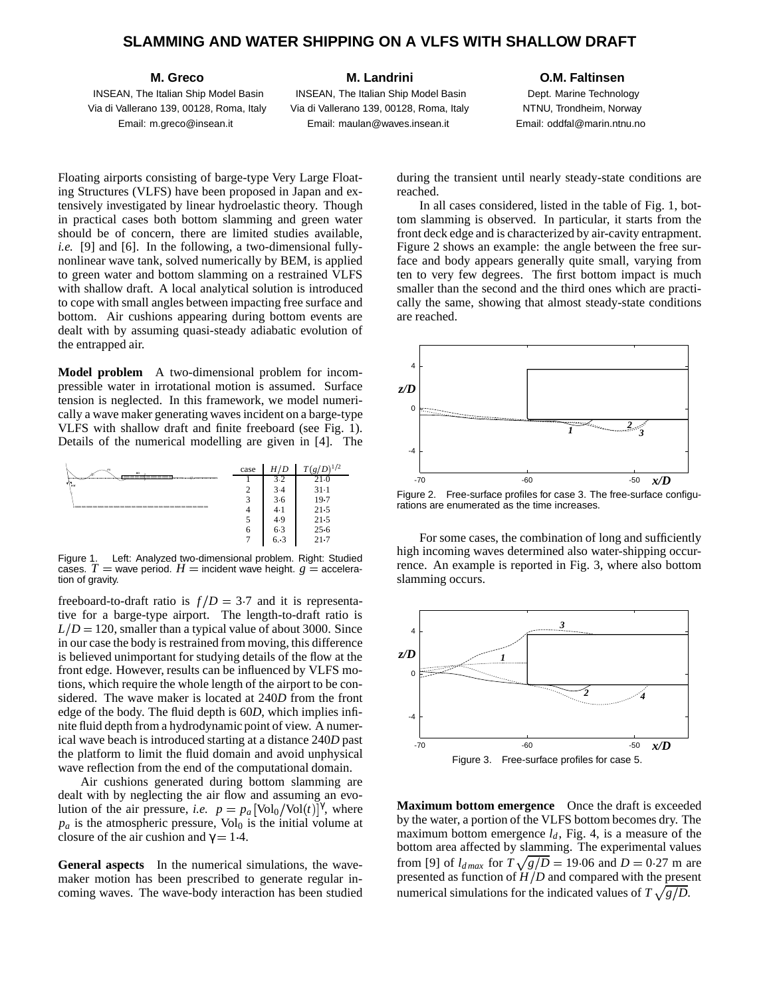## **SLAMMING AND WATER SHIPPING ON A VLFS WITH SHALLOW DRAFT**

**M. Greco**

INSEAN, The Italian Ship Model Basin Via di Vallerano 139, 00128, Roma, Italy Email: m.greco@insean.it

#### **M. Landrini**

INSEAN, The Italian Ship Model Basin Via di Vallerano 139, 00128, Roma, Italy Email: maulan@waves.insean.it

#### **O.M. Faltinsen**

Dept. Marine Technology NTNU, Trondheim, Norway Email: oddfal@marin.ntnu.no

Floating airports consisting of barge-type Very Large Floating Structures (VLFS) have been proposed in Japan and extensively investigated by linear hydroelastic theory. Though in practical cases both bottom slamming and green water should be of concern, there are limited studies available, *i.e.* [9] and [6]. In the following, a two-dimensional fullynonlinear wave tank, solved numerically by BEM, is applied to green water and bottom slamming on a restrained VLFS with shallow draft. A local analytical solution is introduced to cope with small angles between impacting free surface and bottom. Air cushions appearing during bottom events are dealt with by assuming quasi-steady adiabatic evolution of the entrapped air.

**Model problem** A two-dimensional problem for incompressible water in irrotational motion is assumed. Surface tension is neglected. In this framework, we model numerically a wave maker generating waves incident on a barge-type VLFS with shallow draft and finite freeboard (see Fig. 1). Details of the numerical modelling are given in [4]. The



Figure 1. Left: Analyzed two-dimensional problem. Right: Studied cases.  $T =$  wave period.  $H =$  incident wave height.  $g =$  acceleration of gravity.

freeboard-to-draft ratio is  $f/D = 3.7$  and it is representative for a barge-type airport. The length-to-draft ratio is  $L/D = 120$ , smaller than a typical value of about 3000. Since in our case the body is restrained from moving, this difference is believed unimportant for studying details of the flow at the front edge. However, results can be influenced by VLFS motions, which require the whole length of the airport to be considered. The wave maker is located at 240*D* from the front edge of the body. The fluid depth is 60*D*, which implies infinite fluid depth from a hydrodynamic point of view. A numerical wave beach is introduced starting at a distance 240*D* past the platform to limit the fluid domain and avoid unphysical wave reflection from the end of the computational domain.

Air cushions generated during bottom slamming are dealt with by neglecting the air flow and assuming an evolution of the air pressure, *i.e.*  $p = p_a \left[ \text{Vol}_0 / \text{Vol}(t) \right]^{\gamma}$ , where  $p_a$  is the atmospheric pressure, Vol<sub>0</sub> is the initial volume at closure of the air cushion and  $\gamma = 1.4$ .

**General aspects** In the numerical simulations, the wavemaker motion has been prescribed to generate regular incoming waves. The wave-body interaction has been studied during the transient until nearly steady-state conditions are reached.

In all cases considered, listed in the table of Fig. 1, bottom slamming is observed. In particular, it starts from the front deck edge and is characterized by air-cavity entrapment. Figure 2 shows an example: the angle between the free surface and body appears generally quite small, varying from ten to very few degrees. The first bottom impact is much smaller than the second and the third ones which are practically the same, showing that almost steady-state conditions are reached.



Figure 2. Free-surface profiles for case 3. The free-surface configurations are enumerated as the time increases.

For some cases, the combination of long and sufficiently high incoming waves determined also water-shipping occurrence. An example is reported in Fig. 3, where also bottom slamming occurs.



**Maximum bottom emergence** Once the draft is exceeded by the water, a portion of the VLFS bottom becomes dry. The maximum bottom emergence  $l_d$ , Fig. 4, is a measure of the bottom area affected by slamming. The experimental values from [9] of  $l_{dmax}$  for  $T\sqrt{g/D} = 19.06$  and  $D = 0.27$  m are presented as function of *H D* and compared with the present numerical simulations for the indicated values of  $T\sqrt{g/D}$ .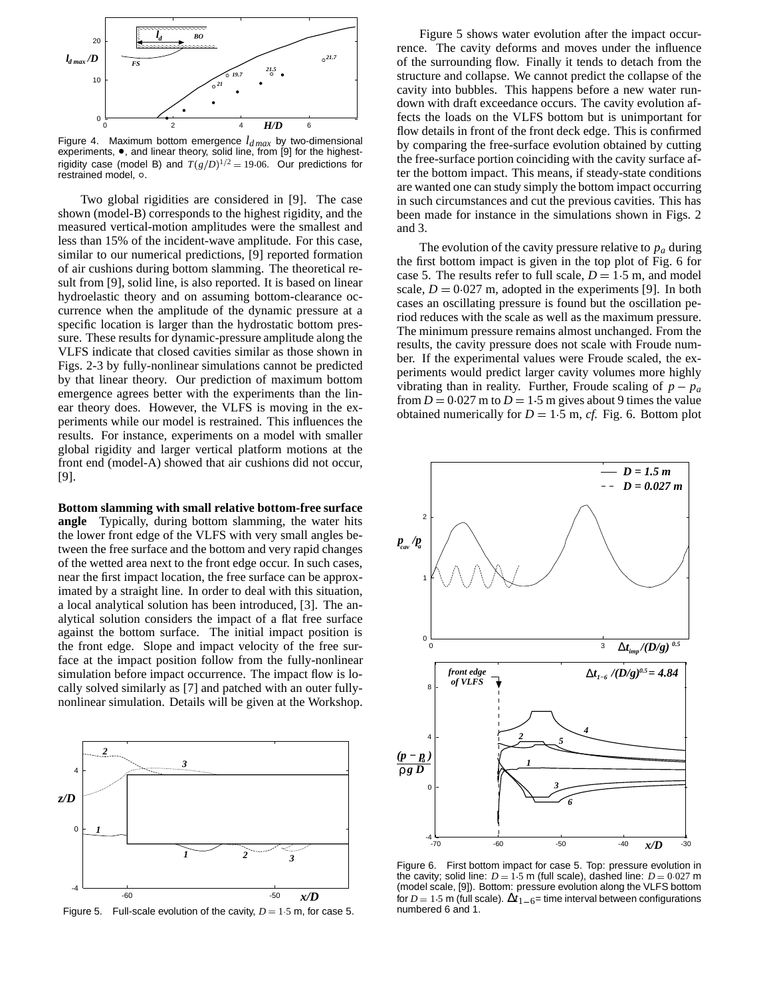

Figure 4. Maximum bottom emergence  $l_{dmax}$  by two-dimensional experiments,  $\bullet$ , and linear theory, solid line, from [9] for the highestrigidity case (model B) and  $T(g/D)^{1/2} = 19.06$ . Our predictions for restrained model, .

Two global rigidities are considered in [9]. The case shown (model-B) corresponds to the highest rigidity, and the measured vertical-motion amplitudes were the smallest and less than 15% of the incident-wave amplitude. For this case, similar to our numerical predictions, [9] reported formation of air cushions during bottom slamming. The theoretical result from [9], solid line, is also reported. It is based on linear hydroelastic theory and on assuming bottom-clearance occurrence when the amplitude of the dynamic pressure at a specific location is larger than the hydrostatic bottom pressure. These results for dynamic-pressure amplitude along the VLFS indicate that closed cavities similar as those shown in Figs. 2-3 by fully-nonlinear simulations cannot be predicted by that linear theory. Our prediction of maximum bottom emergence agrees better with the experiments than the linear theory does. However, the VLFS is moving in the experiments while our model is restrained. This influences the results. For instance, experiments on a model with smaller global rigidity and larger vertical platform motions at the front end (model-A) showed that air cushions did not occur, [9].

**Bottom slamming with small relative bottom-free surface angle** Typically, during bottom slamming, the water hits the lower front edge of the VLFS with very small angles between the free surface and the bottom and very rapid changes of the wetted area next to the front edge occur. In such cases, near the first impact location, the free surface can be approximated by a straight line. In order to deal with this situation, a local analytical solution has been introduced, [3]. The analytical solution considers the impact of a flat free surface against the bottom surface. The initial impact position is the front edge. Slope and impact velocity of the free surface at the impact position follow from the fully-nonlinear simulation before impact occurrence. The impact flow is locally solved similarly as [7] and patched with an outer fullynonlinear simulation. Details will be given at the Workshop.



Figure 5 shows water evolution after the impact occurrence. The cavity deforms and moves under the influence of the surrounding flow. Finally it tends to detach from the structure and collapse. We cannot predict the collapse of the cavity into bubbles. This happens before a new water rundown with draft exceedance occurs. The cavity evolution affects the loads on the VLFS bottom but is unimportant for flow details in front of the front deck edge. This is confirmed by comparing the free-surface evolution obtained by cutting the free-surface portion coinciding with the cavity surface after the bottom impact. This means, if steady-state conditions are wanted one can study simply the bottom impact occurring in such circumstances and cut the previous cavities. This has been made for instance in the simulations shown in Figs. 2 and 3.

The evolution of the cavity pressure relative to *p<sup>a</sup>* during the first bottom impact is given in the top plot of Fig. 6 for case 5. The results refer to full scale,  $D = 1.5$  m, and model scale,  $D = 0.027$  m, adopted in the experiments [9]. In both cases an oscillating pressure is found but the oscillation period reduces with the scale as well as the maximum pressure. The minimum pressure remains almost unchanged. From the results, the cavity pressure does not scale with Froude number. If the experimental values were Froude scaled, the experiments would predict larger cavity volumes more highly vibrating than in reality. Further, Froude scaling of  $p - p_a$ from  $D = 0.027$  m to  $D = 1.5$  m gives about 9 times the value obtained numerically for  $D = 1.5$  m, *cf.* Fig. 6. Bottom plot



Figure 6. First bottom impact for case 5. Top: pressure evolution in the cavity; solid line:  $D = 1.5$  m (full scale), dashed line:  $D = 0.027$  m (model scale, [9]). Bottom: pressure evolution along the VLFS bottom for  $D = 1.5$  m (full scale).  $\Delta t_{1-6}$ = time interval between configurations numbered 6 and 1.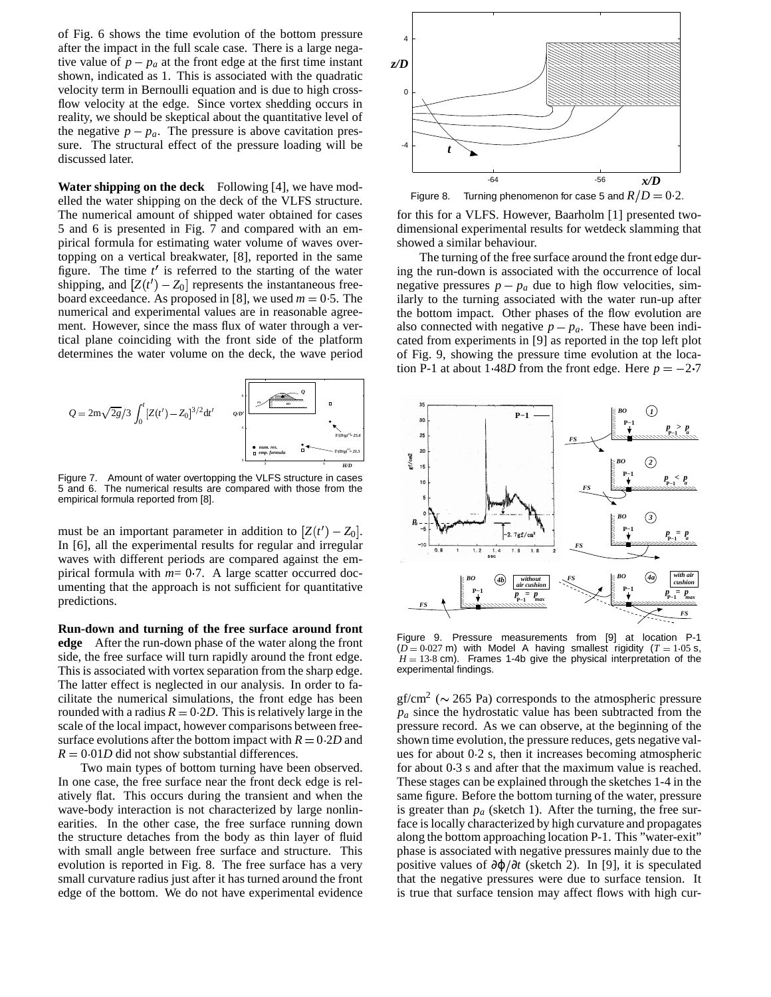of Fig. 6 shows the time evolution of the bottom pressure after the impact in the full scale case. There is a large negative value of  $p - p_a$  at the front edge at the first time instant shown, indicated as 1. This is associated with the quadratic velocity term in Bernoulli equation and is due to high crossflow velocity at the edge. Since vortex shedding occurs in reality, we should be skeptical about the quantitative level of the negative  $p - p_a$ . The pressure is above cavitation pressure. The structural effect of the pressure loading will be discussed later.

**Water shipping on the deck** Following [4], we have modelled the water shipping on the deck of the VLFS structure. The numerical amount of shipped water obtained for cases 5 and 6 is presented in Fig. 7 and compared with an empirical formula for estimating water volume of waves overtopping on a vertical breakwater, [8], reported in the same figure. The time  $t'$  is referred to the starting of the water shipping, and  $[Z(t') - Z_0]$  represents the instantaneous freeboard exceedance. As proposed in [8], we used  $m = 0.5$ . The numerical and experimental values are in reasonable agreement. However, since the mass flux of water through a vertical plane coinciding with the front side of the platform determines the water volume on the deck, the wave period



Figure 7. Amount of water overtopping the VLFS structure in cases 5 and 6. The numerical results are compared with those from the empirical formula reported from [8].

must be an important parameter in addition to  $[Z(t') - Z_0]$ . In [6], all the experimental results for regular and irregular waves with different periods are compared against the empirical formula with  $m=0.7$ . A large scatter occurred documenting that the approach is not sufficient for quantitative predictions.

**Run-down and turning of the free surface around front edge** After the run-down phase of the water along the front side, the free surface will turn rapidly around the front edge. This is associated with vortex separation from the sharp edge. The latter effect is neglected in our analysis. In order to facilitate the numerical simulations, the front edge has been rounded with a radius  $R = 0.2D$ . This is relatively large in the scale of the local impact, however comparisons between freesurface evolutions after the bottom impact with  $R = 0.2D$  and  $R = 0.01D$  did not show substantial differences.

Two main types of bottom turning have been observed. In one case, the free surface near the front deck edge is relatively flat. This occurs during the transient and when the wave-body interaction is not characterized by large nonlinearities. In the other case, the free surface running down the structure detaches from the body as thin layer of fluid with small angle between free surface and structure. This evolution is reported in Fig. 8. The free surface has a very small curvature radius just after it has turned around the front edge of the bottom. We do not have experimental evidence



for this for a VLFS. However, Baarholm [1] presented twodimensional experimental results for wetdeck slamming that showed a similar behaviour.

The turning of the free surface around the front edge during the run-down is associated with the occurrence of local negative pressures  $p - p_a$  due to high flow velocities, similarly to the turning associated with the water run-up after the bottom impact. Other phases of the flow evolution are also connected with negative  $p - p_a$ . These have been indicated from experiments in [9] as reported in the top left plot of Fig. 9, showing the pressure time evolution at the location P-1 at about 1  $48D$  from the front edge. Here  $p = -2.7$ 



Figure 9. Pressure measurements from [9] at location P-1  $(D = 0.027 \text{ m})$  with Model A having smallest rigidity  $(T = 1.05 \text{ s},$  $H = 13.8$  cm). Frames 1-4b give the physical interpretation of the experimental findings.

 $gf/cm<sup>2</sup>$  ( $\sim$  265 Pa) corresponds to the atmospheric pressure  $p_a$  since the hydrostatic value has been subtracted from the pressure record. As we can observe, at the beginning of the shown time evolution, the pressure reduces, gets negative values for about  $0.2$  s, then it increases becoming atmospheric for about  $0.3$  s and after that the maximum value is reached. These stages can be explained through the sketches 1-4 in the same figure. Before the bottom turning of the water, pressure is greater than  $p_a$  (sketch 1). After the turning, the free surface is locally characterized by high curvature and propagates along the bottom approaching location P-1. This "water-exit" phase is associated with negative pressures mainly due to the positive values of ∂ϕ ∂*t* (sketch 2). In [9], it is speculated that the negative pressures were due to surface tension. It is true that surface tension may affect flows with high cur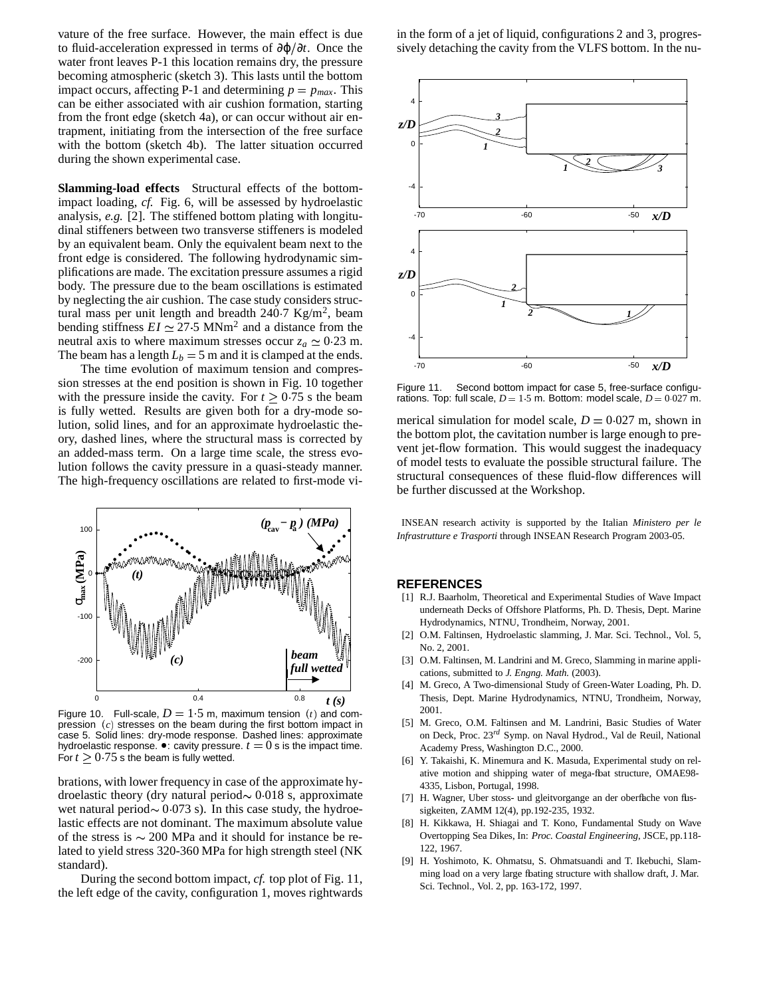vature of the free surface. However, the main effect is due to fluid-acceleration expressed in terms of ∂ϕ ∂*t*. Once the water front leaves P-1 this location remains dry, the pressure becoming atmospheric (sketch 3). This lasts until the bottom impact occurs, affecting P-1 and determining  $p = p_{max}$ . This can be either associated with air cushion formation, starting from the front edge (sketch 4a), or can occur without air entrapment, initiating from the intersection of the free surface with the bottom (sketch 4b). The latter situation occurred during the shown experimental case.

**Slamming-load effects** Structural effects of the bottomimpact loading, *cf.* Fig. 6, will be assessed by hydroelastic analysis, *e.g.* [2]. The stiffened bottom plating with longitudinal stiffeners between two transverse stiffeners is modeled by an equivalent beam. Only the equivalent beam next to the front edge is considered. The following hydrodynamic simplifications are made. The excitation pressure assumes a rigid body. The pressure due to the beam oscillations is estimated by neglecting the air cushion. The case study considers structural mass per unit length and breadth  $240.7 \text{ Kg/m}^2$ , beam bending stiffness  $EI \simeq 27.5$  MNm<sup>2</sup> and a distance from the neutral axis to where maximum stresses occur  $z_a \approx 0.23$  m. The beam has a length  $L_b = 5$  m and it is clamped at the ends.

The time evolution of maximum tension and compression stresses at the end position is shown in Fig. 10 together with the pressure inside the cavity. For  $t \geq 0.75$  s the beam is fully wetted. Results are given both for a dry-mode solution, solid lines, and for an approximate hydroelastic theory, dashed lines, where the structural mass is corrected by an added-mass term. On a large time scale, the stress evolution follows the cavity pressure in a quasi-steady manner. The high-frequency oscillations are related to first-mode vi-



Figure 10. Full-scale,  $D = 1.5$  m, maximum tension  $(t)$  and compression  $(c)$  stresses on the beam during the first bottom impact in case 5. Solid lines: dry-mode response. Dashed lines: approximate hydroelastic response.  $\bullet$ : cavity pressure.  $t = 0$  s is the impact time. For  $t \geq 0.75$  s the beam is fully wetted.

brations, with lower frequency in case of the approximate hydroelastic theory (dry natural period $\sim 0.018$  s, approximate wet natural period $\sim 0.073$  s). In this case study, the hydroelastic effects are not dominant. The maximum absolute value of the stress is  $\sim 200$  MPa and it should for instance be related to yield stress 320-360 MPa for high strength steel (NK standard).

During the second bottom impact, *cf.* top plot of Fig. 11, the left edge of the cavity, configuration 1, moves rightwards in the form of a jet of liquid, configurations 2 and 3, progressively detaching the cavity from the VLFS bottom. In the nu-



Figure 11. Second bottom impact for case 5, free-surface configurations. Top: full scale,  $D = 1.5$  m. Bottom: model scale,  $D = 0.027$  m.

merical simulation for model scale,  $D = 0.027$  m, shown in the bottom plot, the cavitation number is large enough to prevent jet-flow formation. This would suggest the inadequacy of model tests to evaluate the possible structural failure. The structural consequences of these fluid-flow differences will be further discussed at the Workshop.

INSEAN research activity is supported by the Italian *Ministero per le Infrastrutture e Trasporti* through INSEAN Research Program 2003-05.

#### **REFERENCES**

- [1] R.J. Baarholm, Theoretical and Experimental Studies of Wave Impact underneath Decks of Offshore Platforms, Ph. D. Thesis, Dept. Marine Hydrodynamics, NTNU, Trondheim, Norway, 2001.
- [2] O.M. Faltinsen, Hydroelastic slamming, J. Mar. Sci. Technol., Vol. 5, No. 2, 2001.
- [3] O.M. Faltinsen, M. Landrini and M. Greco, Slamming in marine applications, submitted to *J. Engng. Math.* (2003).
- [4] M. Greco, A Two-dimensional Study of Green-Water Loading, Ph. D. Thesis, Dept. Marine Hydrodynamics, NTNU, Trondheim, Norway, 2001.
- [5] M. Greco, O.M. Faltinsen and M. Landrini, Basic Studies of Water on Deck, Proc. 23 *rd* Symp. on Naval Hydrod., Val de Reuil, National Academy Press, Washington D.C., 2000.
- [6] Y. Takaishi, K. Minemura and K. Masuda, Experimental study on relative motion and shipping water of mega-fbat structure, OMAE98-4335, Lisbon, Portugal, 1998.
- [7] H. Wagner, Uber stoss- und gleitvorgange an der oberflache von flussigkeiten, ZAMM 12(4), pp.192-235, 1932.
- [8] H. Kikkawa, H. Shiagai and T. Kono, Fundamental Study on Wave Overtopping Sea Dikes, In: *Proc. Coastal Engineering*, JSCE, pp.118- 122, 1967.
- [9] H. Yoshimoto, K. Ohmatsu, S. Ohmatsuandi and T. Ikebuchi, Slamming load on a very large fbating structure with shallow draft, J. Mar. Sci. Technol., Vol. 2, pp. 163-172, 1997.